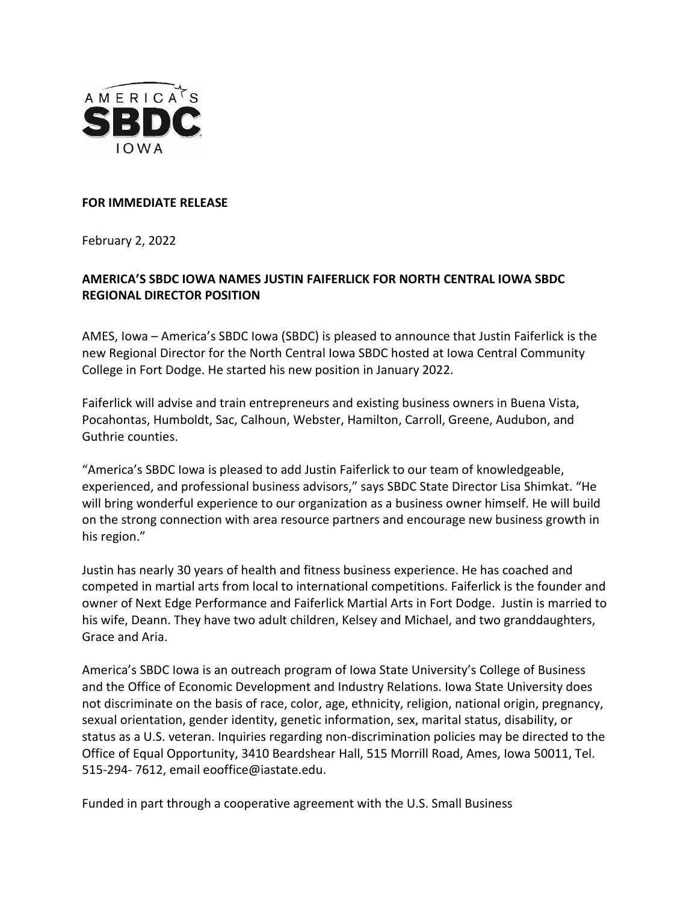

## **FOR IMMEDIATE RELEASE**

February 2, 2022

## **AMERICA'S SBDC IOWA NAMES JUSTIN FAIFERLICK FOR NORTH CENTRAL IOWA SBDC REGIONAL DIRECTOR POSITION**

AMES, Iowa – America's SBDC Iowa (SBDC) is pleased to announce that Justin Faiferlick is the new Regional Director for the North Central Iowa SBDC hosted at Iowa Central Community College in Fort Dodge. He started his new position in January 2022.

Faiferlick will advise and train entrepreneurs and existing business owners in Buena Vista, Pocahontas, Humboldt, Sac, Calhoun, Webster, Hamilton, Carroll, Greene, Audubon, and Guthrie counties.

"America's SBDC Iowa is pleased to add Justin Faiferlick to our team of knowledgeable, experienced, and professional business advisors," says SBDC State Director Lisa Shimkat. "He will bring wonderful experience to our organization as a business owner himself. He will build on the strong connection with area resource partners and encourage new business growth in his region."

Justin has nearly 30 years of health and fitness business experience. He has coached and competed in martial arts from local to international competitions. Faiferlick is the founder and owner of Next Edge Performance and Faiferlick Martial Arts in Fort Dodge. Justin is married to his wife, Deann. They have two adult children, Kelsey and Michael, and two granddaughters, Grace and Aria.

America's SBDC Iowa is an outreach program of Iowa State University's College of Business and the Office of Economic Development and Industry Relations. Iowa State University does not discriminate on the basis of race, color, age, ethnicity, religion, national origin, pregnancy, sexual orientation, gender identity, genetic information, sex, marital status, disability, or status as a U.S. veteran. Inquiries regarding non-discrimination policies may be directed to the Office of Equal Opportunity, 3410 Beardshear Hall, 515 Morrill Road, Ames, Iowa 50011, Tel. 515-294- 7612, email [eooffice@iastate.edu.](mailto:eooffice@mail.iastate.edu)

Funded in part through a cooperative agreement with the U.S. Small Business